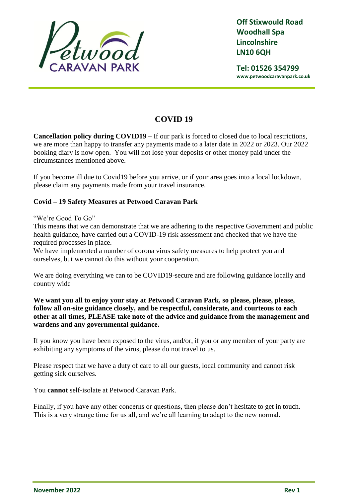

**Tel: 01526 354799 www.petwoodcaravanpark.co.uk**

# **COVID 19**

**Cancellation policy during COVID19 –** If our park is forced to closed due to local restrictions, we are more than happy to transfer any payments made to a later date in 2022 or 2023. Our 2022 booking diary is now open. You will not lose your deposits or other money paid under the circumstances mentioned above.

If you become ill due to Covid19 before you arrive, or if your area goes into a local lockdown, please claim any payments made from your travel insurance.

## **Covid – 19 Safety Measures at Petwood Caravan Park**

### "We're Good To Go"

This means that we can demonstrate that we are adhering to the respective Government and public health guidance, have carried out a COVID-19 risk assessment and checked that we have the required processes in place.

We have implemented a number of corona virus safety measures to help protect you and ourselves, but we cannot do this without your cooperation.

We are doing everything we can to be COVID19-secure and are following guidance locally and country wide

**We want you all to enjoy your stay at Petwood Caravan Park, so please, please, please, follow all on-site guidance closely, and be respectful, considerate, and courteous to each other at all times, PLEASE take note of the advice and guidance from the management and wardens and any governmental guidance.**

If you know you have been exposed to the virus, and/or, if you or any member of your party are exhibiting any symptoms of the virus, please do not travel to us.

Please respect that we have a duty of care to all our guests, local community and cannot risk getting sick ourselves.

You **cannot** self-isolate at Petwood Caravan Park.

Finally, if you have any other concerns or questions, then please don't hesitate to get in touch. This is a very strange time for us all, and we're all learning to adapt to the new normal.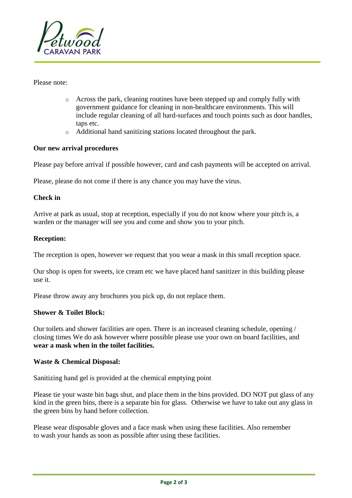

Please note:

- o Across the park, cleaning routines have been stepped up and comply fully with government guidance for cleaning in non-healthcare environments. This will include regular cleaning of all hard-surfaces and touch points such as door handles, taps etc.
- o Additional hand sanitizing stations located throughout the park.

#### **Our new arrival procedures**

Please pay before arrival if possible however, card and cash payments will be accepted on arrival.

Please, please do not come if there is any chance you may have the virus.

#### **Check in**

Arrive at park as usual, stop at reception, especially if you do not know where your pitch is, a warden or the manager will see you and come and show you to your pitch.

#### **Reception:**

The reception is open, however we request that you wear a mask in this small reception space.

Our shop is open for sweets, ice cream etc we have placed hand sanitizer in this building please use it.

Please throw away any brochures you pick up, do not replace them.

#### **Shower & Toilet Block:**

Our toilets and shower facilities are open. There is an increased cleaning schedule, opening / closing times We do ask however where possible please use your own on board facilities, and **wear a mask when in the toilet facilities.**

#### **Waste & Chemical Disposal:**

Sanitizing hand gel is provided at the chemical emptying point

Please tie your waste bin bags shut, and place them in the bins provided. DO NOT put glass of any kind in the green bins, there is a separate bin for glass. Otherwise we have to take out any glass in the green bins by hand before collection.

Please wear disposable gloves and a face mask when using these facilities. Also remember to wash your hands as soon as possible after using these facilities.